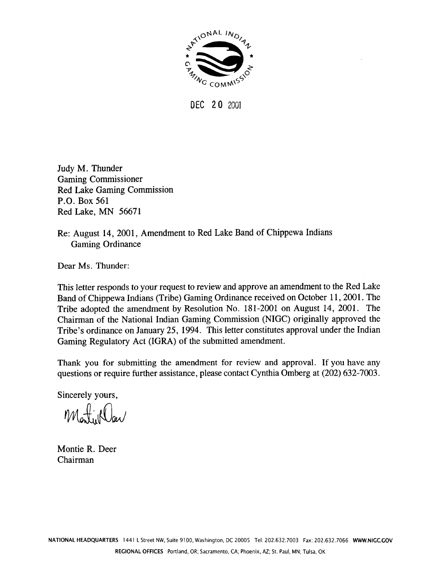

DEC 20 2001

Judy M. Thunder **Gaming Commissioner Red Lake Gaming Commission** P.O. Box 561 Red Lake, MN 56671

Re: August 14, 2001, Amendment to Red Lake Band of Chippewa Indians **Gaming Ordinance** 

Dear Ms. Thunder:

This letter responds to your request to review and approve an amendment to the Red Lake Band of Chippewa Indians (Tribe) Gaming Ordinance received on October 11, 2001. The Tribe adopted the amendment by Resolution No. 181-2001 on August 14, 2001. The Chairman of the National Indian Gaming Commission (NIGC) originally approved the Tribe's ordinance on January 25, 1994. This letter constitutes approval under the Indian Gaming Regulatory Act (IGRA) of the submitted amendment.

Thank you for submitting the amendment for review and approval. If you have any questions or require further assistance, please contact Cynthia Omberg at (202) 632-7003.

Sincerely yours,

Montillar

Montie R. Deer Chairman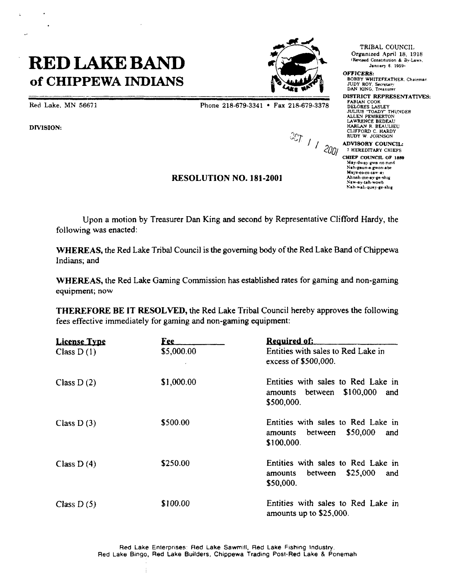## **RED LAKE BAND PRED LAKE BAND PREDICATE BAND of CHIPPEWA INDIANS A**



**DIVISION:**

 $\ddot{\phantom{0}}$ 

**Red** Lake, MN 56671 **Phone**  $218-679-3341$  **Phone**  $218-679-3341$  **Fax**  $218-679-3378$ 

**~**

**~7TI~ Organized April <sup>18</sup> <sup>1918</sup>**

**IUDY ROY, Secretary**<br>DAN **KING**. Treasurer

**DISTRICT REPRESENTATIVES:**<br>FABIAN COOK **JULIUS 1OADY THUNDER ALLEN PEMBERTON** LAWRENCE BEDEAU<br> **HARLAN R. BEAULIEU**<br> **CLIFFORD C. HARDY - CLWFORDC HARDY RUDY W JOHNSON <sup>I</sup> / ADVISORY COUNCIL:**

**<sup>7</sup> HERED1TAI~Y CHIEFS CHIEF COUNCIL OF 2889 Mey-dw~y-8wa no-nind** Nah-gaun-e-gwan-abe Mays-co-co-caw-ay<br>Ahnah-me-ay-ge-shig<br>Naw-ay-tah-wowb **Nah~ah-quay.ge.ahig**

## **RESOLUTION NO. 181-2001**

**Upon <sup>a</sup> motion by Treasurer Dan King and second by Representative Clifford Hardy, the following was enacted:**

**WHEREAS, the Red Lake Triba] Council is the governing body of the Red Lake Band of Chippewa Indians; and**

**WHEREAS, the Red Lake Gaming Commission has established rates for gaming and non-gaming equipment; now**

**THEREFORE BE IT RESOLVED, the Red Lake Tribal Council hereby approves the following fees effective immediately for gaming and non-gaming equipment:**

| <b>License Type</b><br>Class $D(1)$ | <u>Fee</u><br>\$5,000.00 | <u>Required of:</u><br>Entities with sales to Red Lake in<br>excess of \$500,000.          |
|-------------------------------------|--------------------------|--------------------------------------------------------------------------------------------|
| Class $D(2)$                        | \$1,000.00               | Entities with sales to Red Lake in<br>\$100,000<br>between<br>and<br>amounts<br>\$500,000. |
| Class $D(3)$                        | \$500.00                 | Entities with sales to Red Lake in<br>\$50,000<br>between<br>and<br>amounts<br>\$100,000.  |
| Class $D(4)$                        | \$250.00                 | Entities with sales to Red Lake in<br>\$25,000<br>between<br>and<br>amounts<br>\$50,000.   |
| Class $D(5)$                        | \$100.00                 | Entities with sales to Red Lake in<br>amounts up to \$25,000.                              |